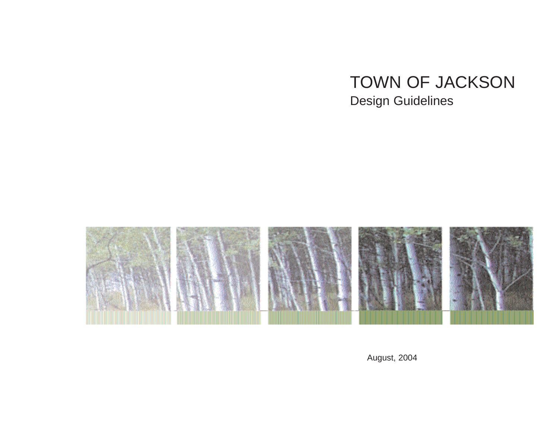## TOWN OF JACKSON Design Guidelines



August, 2004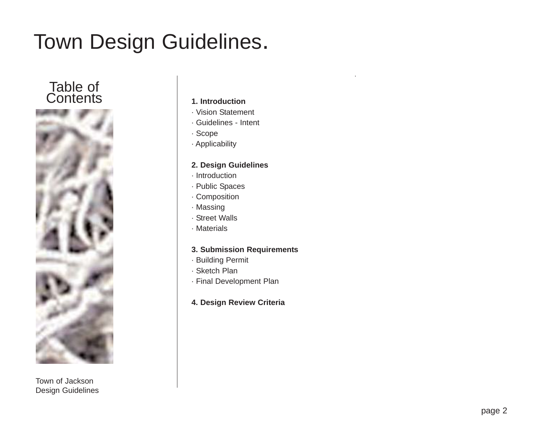### Table of Contents **1. Introduction**



Town of Jackson Design Guidelines

- · Vision Statement
- · Guidelines Intent
- · Scope
- · Applicability

#### **2. Design Guidelines**

- · Introduction
- · Public Spaces
- · Composition
- · Massing
- · Street Walls
- · Materials

#### **3. Submission Requirements**

- · Building Permit
- · Sketch Plan
- · Final Development Plan
- **4. Design Review Criteria**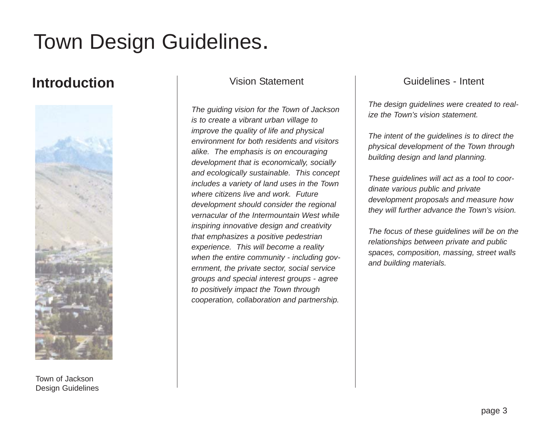### **Introduction** Vision Statement



Town of Jackson Design Guidelines

*The guiding vision for the Town of Jackson is to create a vibrant urban village to improve the quality of life and physical environment for both residents and visitors alike. The emphasis is on encouraging development that is economically, socially and ecologically sustainable. This concept includes a variety of land uses in the Town where citizens live and work. Future development should consider the regional vernacular of the Intermountain West while inspiring innovative design and creativity that emphasizes a positive pedestrian experience. This will become a reality when the entire community - including government, the private sector, social service groups and special interest groups - agree to positively impact the Town through cooperation, collaboration and partnership.*

### Guidelines - Intent

*The design guidelines were created to realize the Town's vision statement.*

*The intent of the guidelines is to direct the physical development of the Town through building design and land planning.*

*These guidelines will act as a tool to coordinate various public and private development proposals and measure how they will further advance the Town's vision.*

*The focus of these guidelines will be on the relationships between private and public spaces, composition, massing, street walls and building materials.*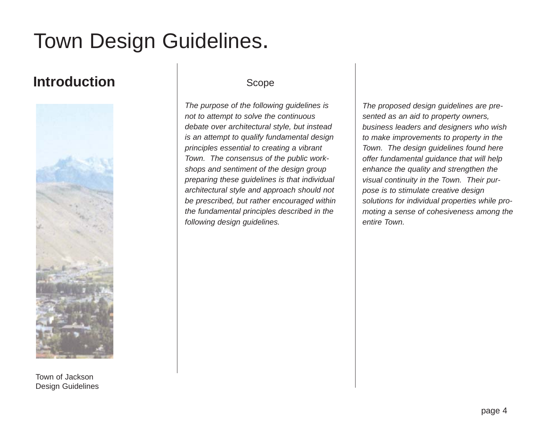## **Introduction**



Town of Jackson Design Guidelines

### Scope

*The purpose of the following guidelines is not to attempt to solve the continuous debate over architectural style, but instead is an attempt to qualify fundamental design principles essential to creating a vibrant Town. The consensus of the public workshops and sentiment of the design group preparing these guidelines is that individual architectural style and approach should not be prescribed, but rather encouraged within the fundamental principles described in the following design guidelines.* 

*The proposed design guidelines are presented as an aid to property owners, business leaders and designers who wish to make improvements to property in the Town. The design guidelines found here offer fundamental guidance that will help enhance the quality and strengthen the visual continuity in the Town. Their purpose is to stimulate creative design solutions for individual properties while promoting a sense of cohesiveness among the entire Town.*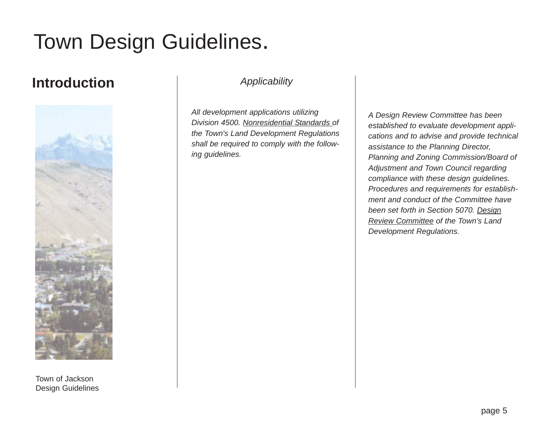## **Introduction** *Applicability*



Town of Jackson Design Guidelines

*All development applications utilizing Division 4500. Nonresidential Standards of the Town's Land Development Regulations shall be required to comply with the following guidelines.* 

*A Design Review Committee has been established to evaluate development applications and to advise and provide technical assistance to the Planning Director, Planning and Zoning Commission/Board of Adjustment and Town Council regarding compliance with these design guidelines. Procedures and requirements for establishment and conduct of the Committee have been set forth in Section 5070. Design Review Committee of the Town's Land Development Regulations.*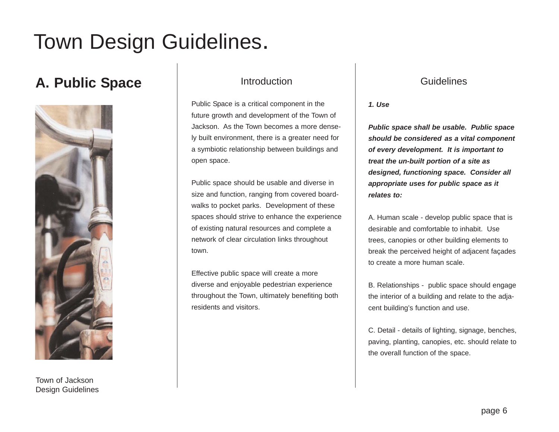## **A. Public Space** Introduction



#### Town of Jackson Design Guidelines

Public Space is a critical component in the future growth and development of the Town of Jackson. As the Town becomes a more densely built environment, there is a greater need for a symbiotic relationship between buildings and open space.

Public space should be usable and diverse in size and function, ranging from covered boardwalks to pocket parks. Development of these spaces should strive to enhance the experience of existing natural resources and complete a network of clear circulation links throughout town.

Effective public space will create a more diverse and enjoyable pedestrian experience throughout the Town, ultimately benefiting both residents and visitors.

### **Guidelines**

*1. Use*

*Public space shall be usable. Public space should be considered as a vital component of every development. It is important to treat the un-built portion of a site as designed, functioning space. Consider all appropriate uses for public space as it relates to:*

A. Human scale - develop public space that is desirable and comfortable to inhabit. Use trees, canopies or other building elements to break the perceived height of adjacent façades to create a more human scale.

B. Relationships - public space should engage the interior of a building and relate to the adjacent building's function and use.

C. Detail - details of lighting, signage, benches, paving, planting, canopies, etc. should relate to the overall function of the space.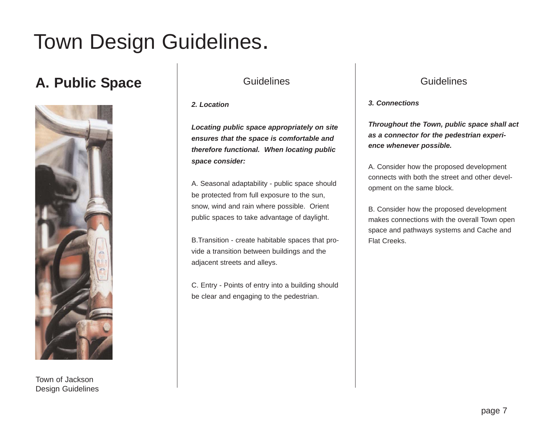## A. Public Space **Guidelines**



Town of Jackson Design Guidelines

*2. Location*

*Locating public space appropriately on site ensures that the space is comfortable and therefore functional. When locating public space consider:*

A. Seasonal adaptability - public space should be protected from full exposure to the sun, snow, wind and rain where possible. Orient public spaces to take advantage of daylight.

B.Transition - create habitable spaces that provide a transition between buildings and the adjacent streets and alleys.

C. Entry - Points of entry into a building should be clear and engaging to the pedestrian.

### **Guidelines**

*3. Connections*

*Throughout the Town, public space shall act as a connector for the pedestrian experience whenever possible.*

A. Consider how the proposed development connects with both the street and other development on the same block.

B. Consider how the proposed development makes connections with the overall Town open space and pathways systems and Cache and Flat Creeks.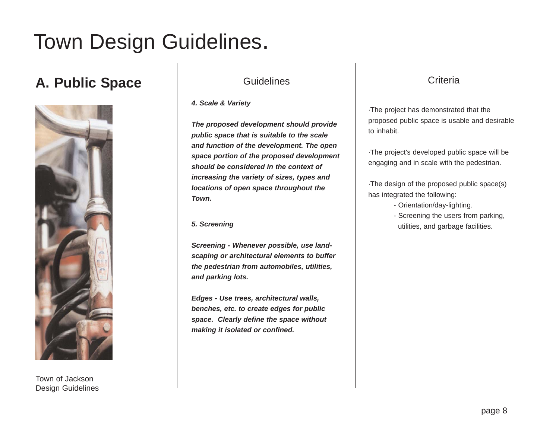## A. Public Space **Guidelines**



Town of Jackson Design Guidelines

*4. Scale & Variety*

*The proposed development should provide public space that is suitable to the scale and function of the development. The open space portion of the proposed development should be considered in the context of increasing the variety of sizes, types and locations of open space throughout the Town.*

*5. Screening*

*Screening - Whenever possible, use landscaping or architectural elements to buffer the pedestrian from automobiles, utilities, and parking lots.*

*Edges - Use trees, architectural walls, benches, etc. to create edges for public space. Clearly define the space without making it isolated or confined.*

### **Criteria**

·The project has demonstrated that the proposed public space is usable and desirable to inhabit.

·The project's developed public space will be engaging and in scale with the pedestrian.

·The design of the proposed public space(s) has integrated the following:

- Orientation/day-lighting.
- Screening the users from parking, utilities, and garbage facilities.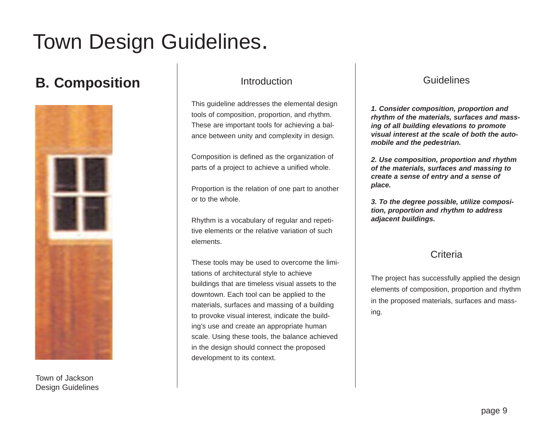## **B. Composition Introduction**



Town of Jackson Design Guidelines

This guideline addresses the elemental design tools of composition, proportion, and rhythm. These are important tools for achieving a balance between unity and complexity in design.

Composition is defined as the organization of parts of a project to achieve a unified whole.

Proportion is the relation of one part to another or to the whole.

Rhythm is a vocabulary of regular and repetitive elements or the relative variation of such elements.

These tools may be used to overcome the limitations of architectural style to achieve buildings that are timeless visual assets to the downtown. Each tool can be applied to the materials, surfaces and massing of a building to provoke visual interest, indicate the building's use and create an appropriate human scale. Using these tools, the balance achieved in the design should connect the proposed development to its context.

### **Guidelines**

*1. Consider composition, proportion and rhythm of the materials, surfaces and massing of all building elevations to promote visual interest at the scale of both the automobile and the pedestrian.* 

*2. Use composition, proportion and rhythm of the materials, surfaces and massing to create a sense of entry and a sense of place.*

*3. To the degree possible, utilize composition, proportion and rhythm to address adjacent buildings.*

### **Criteria**

The project has successfully applied the design elements of composition, proportion and rhythm in the proposed materials, surfaces and massing.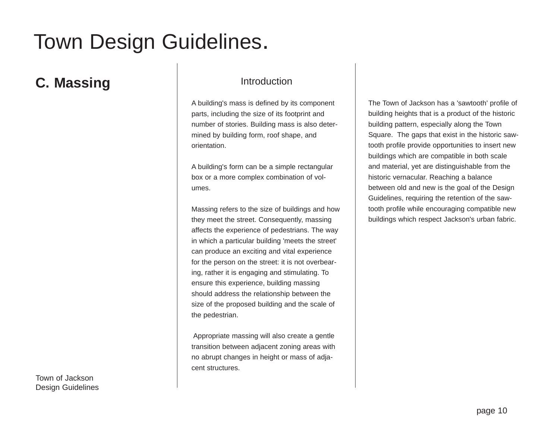## **C. Massing Strategier C. Massing Strategier C. Massing Strategier C. All and Introduction**

A building's mass is defined by its component parts, including the size of its footprint and number of stories. Building mass is also determined by building form, roof shape, and orientation.

A building's form can be a simple rectangular box or a more complex combination of volumes.

Massing refers to the size of buildings and how they meet the street. Consequently, massing affects the experience of pedestrians. The way in which a particular building 'meets the street' can produce an exciting and vital experience for the person on the street: it is not overbearing, rather it is engaging and stimulating. To ensure this experience, building massing should address the relationship between the size of the proposed building and the scale of the pedestrian.

Appropriate massing will also create a gentle transition between adjacent zoning areas with no abrupt changes in height or mass of adjacent structures.

The Town of Jackson has a 'sawtooth' profile of building heights that is a product of the historic building pattern, especially along the Town Square. The gaps that exist in the historic sawtooth profile provide opportunities to insert new buildings which are compatible in both scale and material, yet are distinguishable from the historic vernacular. Reaching a balance between old and new is the goal of the Design Guidelines, requiring the retention of the sawtooth profile while encouraging compatible new buildings which respect Jackson's urban fabric.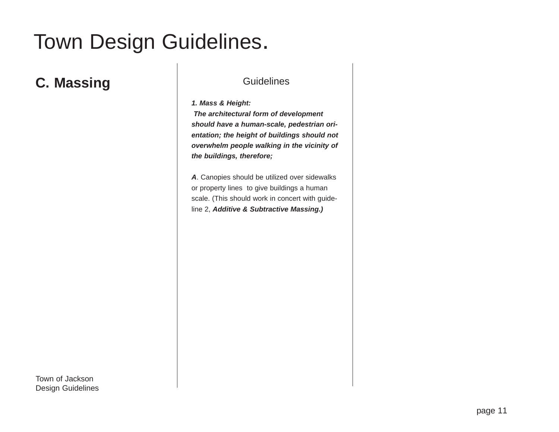## **C. Massing C. Massing C. Massing C. Massing C. All Contracts Cuidelines**

*1. Mass & Height:*

*The architectural form of development should have a human-scale, pedestrian orientation; the height of buildings should not overwhelm people walking in the vicinity of the buildings, therefore;*

*A*. Canopies should be utilized over sidewalks or property lines to give buildings a human scale. (This should work in concert with guideline 2, *Additive & Subtractive Massing.)*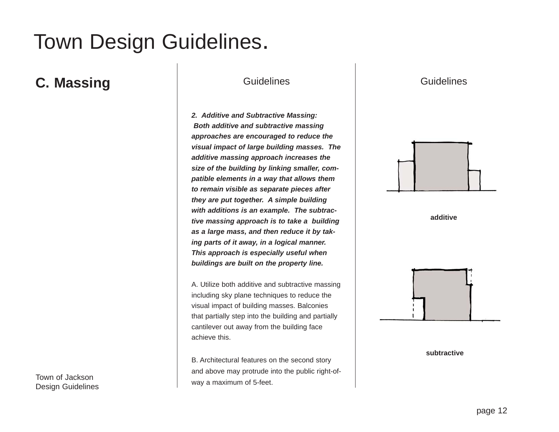### **C. Massing C. Massing C. Massing C. Massing C. All Contracts Culture Contracts Contracts Culture Contracts Contracts Culture Contracts Culture Contracts Culture Contracts Culture Contracts Culture Contracts Culture Cultur**

Town of Jackson

Design Guidelines

*2. Additive and Subtractive Massing: Both additive and subtractive massing approaches are encouraged to reduce the visual impact of large building masses. The additive massing approach increases the size of the building by linking smaller, compatible elements in a way that allows them to remain visible as separate pieces after they are put together. A simple building with additions is an example. The subtractive massing approach is to take a building as a large mass, and then reduce it by taking parts of it away, in a logical manner. This approach is especially useful when buildings are built on the property line.*

A. Utilize both additive and subtractive massing including sky plane techniques to reduce the visual impact of building masses. Balconies that partially step into the building and partially cantilever out away from the building face achieve this.

B. Architectural features on the second story and above may protrude into the public right-ofway a maximum of 5-feet.

**Guidelines** 







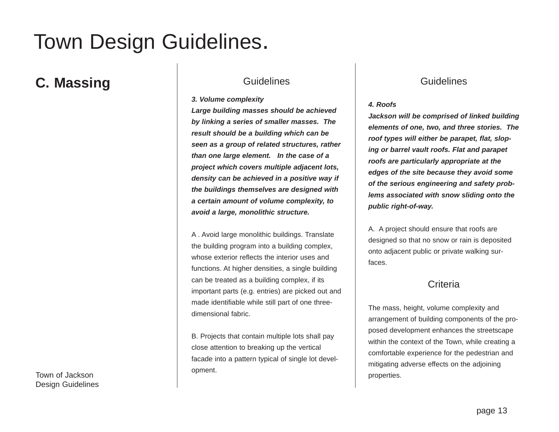## **C. Massing C. Massing C. Massing C. Massing C. All Contracts Culture Contracts Contracts Culture Contracts Contracts Culture Contracts Culture Contracts Culture Contracts Culture Contracts Culture Contracts Culture Contra**

*3. Volume complexity*

*Large building masses should be achieved by linking a series of smaller masses. The result should be a building which can be seen as a group of related structures, rather than one large element. In the case of a project which covers multiple adjacent lots, density can be achieved in a positive way if the buildings themselves are designed with a certain amount of volume complexity, to avoid a large, monolithic structure.* 

A . Avoid large monolithic buildings. Translate the building program into a building complex, whose exterior reflects the interior uses and functions. At higher densities, a single building can be treated as a building complex, if its important parts (e.g. entries) are picked out and made identifiable while still part of one threedimensional fabric.

B. Projects that contain multiple lots shall pay close attention to breaking up the vertical facade into a pattern typical of single lot development.

### **Guidelines**

#### *4. Roofs*

*Jackson will be comprised of linked building elements of one, two, and three stories. The roof types will either be parapet, flat, sloping or barrel vault roofs. Flat and parapet roofs are particularly appropriate at the edges of the site because they avoid some of the serious engineering and safety problems associated with snow sliding onto the public right-of-way.*

A. A project should ensure that roofs are designed so that no snow or rain is deposited onto adjacent public or private walking surfaces.

### **Criteria**

The mass, height, volume complexity and arrangement of building components of the proposed development enhances the streetscape within the context of the Town, while creating a comfortable experience for the pedestrian and mitigating adverse effects on the adjoining properties.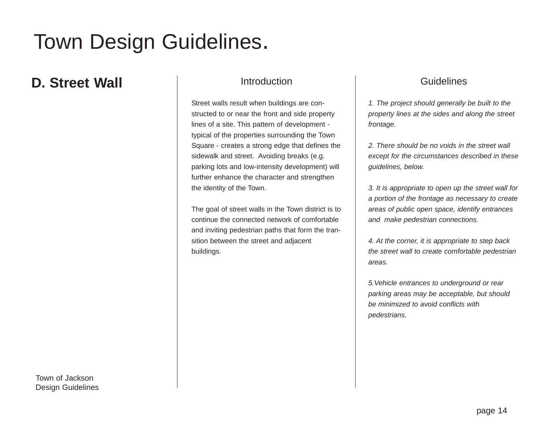### **D. Street Wall Introduction**

Street walls result when buildings are constructed to or near the front and side property lines of a site. This pattern of development typical of the properties surrounding the Town Square - creates a strong edge that defines the sidewalk and street. Avoiding breaks (e.g. parking lots and low-intensity development) will further enhance the character and strengthen the identity of the Town.

The goal of street walls in the Town district is to continue the connected network of comfortable and inviting pedestrian paths that form the transition between the street and adjacent buildings.

### **Guidelines**

*1. The project should generally be built to the property lines at the sides and along the street frontage.* 

*2. There should be no voids in the street wall except for the circumstances described in these guidelines, below.*

*3. It is appropriate to open up the street wall for a portion of the frontage as necessary to create areas of public open space, identify entrances and make pedestrian connections.*

*4. At the corner, it is appropriate to step back the street wall to create comfortable pedestrian areas.*

*5.Vehicle entrances to underground or rear parking areas may be acceptable, but should be minimized to avoid conflicts with pedestrians.*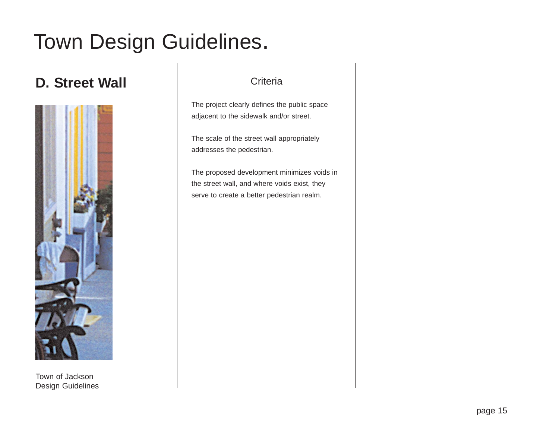## **D. Street Wall Criteria**



Town of Jackson Design Guidelines

The project clearly defines the public space adjacent to the sidewalk and/or street.

The scale of the street wall appropriately addresses the pedestrian.

The proposed development minimizes voids in the street wall, and where voids exist, they serve to create a better pedestrian realm.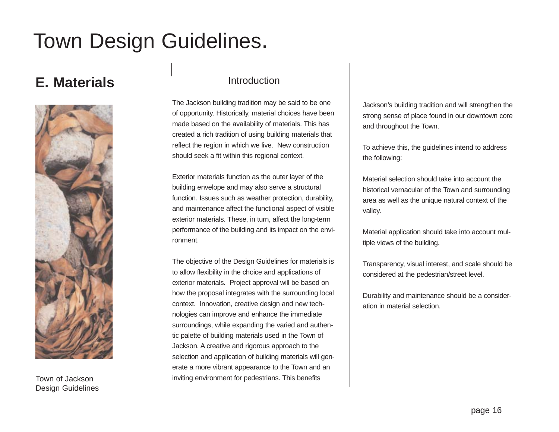## **E. Materials**



Town of Jackson Design Guidelines

### Introduction

The Jackson building tradition may be said to be one of opportunity. Historically, material choices have been made based on the availability of materials. This has created a rich tradition of using building materials that reflect the region in which we live. New construction should seek a fit within this regional context.

Exterior materials function as the outer layer of the building envelope and may also serve a structural function. Issues such as weather protection, durability, and maintenance affect the functional aspect of visible exterior materials. These, in turn, affect the long-term performance of the building and its impact on the environment.

The objective of the Design Guidelines for materials is to allow flexibility in the choice and applications of exterior materials. Project approval will be based on how the proposal integrates with the surrounding local context. Innovation, creative design and new technologies can improve and enhance the immediate surroundings, while expanding the varied and authentic palette of building materials used in the Town of Jackson. A creative and rigorous approach to the selection and application of building materials will generate a more vibrant appearance to the Town and an inviting environment for pedestrians. This benefits

Jackson's building tradition and will strengthen the strong sense of place found in our downtown core and throughout the Town.

To achieve this, the guidelines intend to address the following:

Material selection should take into account the historical vernacular of the Town and surrounding area as well as the unique natural context of the valley.

Material application should take into account multiple views of the building.

Transparency, visual interest, and scale should be considered at the pedestrian/street level.

Durability and maintenance should be a consideration in material selection.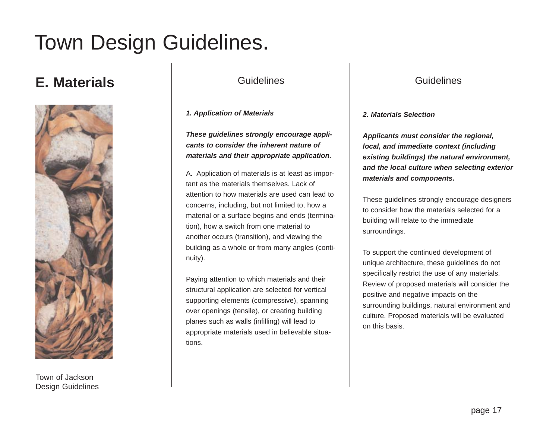## **E. Materials** Guidelines



Town of Jackson Design Guidelines

*1. Application of Materials*

*These guidelines strongly encourage applicants to consider the inherent nature of materials and their appropriate application.*

A. Application of materials is at least as important as the materials themselves. Lack of attention to how materials are used can lead to concerns, including, but not limited to, how a material or a surface begins and ends (termination), how a switch from one material to another occurs (transition), and viewing the building as a whole or from many angles (continuity).

Paying attention to which materials and their structural application are selected for vertical supporting elements (compressive), spanning over openings (tensile), or creating building planes such as walls (infilling) will lead to appropriate materials used in believable situations.

### Guidelines

#### *2. Materials Selection*

*Applicants must consider the regional, local, and immediate context (including existing buildings) the natural environment, and the local culture when selecting exterior materials and components.*

These guidelines strongly encourage designers to consider how the materials selected for a building will relate to the immediate surroundings.

To support the continued development of unique architecture, these guidelines do not specifically restrict the use of any materials. Review of proposed materials will consider the positive and negative impacts on the surrounding buildings, natural environment and culture. Proposed materials will be evaluated on this basis.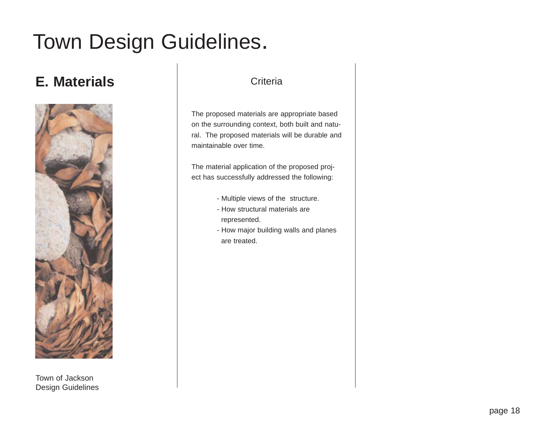## **E. Materials Criteria**



Town of Jackson Design Guidelines

The proposed materials are appropriate based on the surrounding context, both built and natural. The proposed materials will be durable and maintainable over time.

The material application of the proposed project has successfully addressed the following:

- Multiple views of the structure.
- How structural materials are represented.
- How major building walls and planes are treated.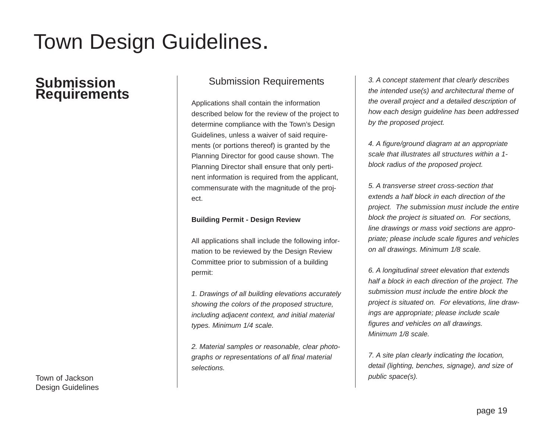### **Submission Requirements**

Town of Jackson Design Guidelines

### Submission Requirements

Applications shall contain the information described below for the review of the project to determine compliance with the Town's Design Guidelines, unless a waiver of said requirements (or portions thereof) is granted by the Planning Director for good cause shown. The Planning Director shall ensure that only pertinent information is required from the applicant, commensurate with the magnitude of the project.

#### **Building Permit - Design Review**

All applications shall include the following information to be reviewed by the Design Review Committee prior to submission of a building permit:

*1. Drawings of all building elevations accurately showing the colors of the proposed structure, including adjacent context, and initial material types. Minimum 1/4 scale.* 

*2. Material samples or reasonable, clear photographs or representations of all final material selections.* 

*3. A concept statement that clearly describes the intended use(s) and architectural theme of the overall project and a detailed description of how each design guideline has been addressed by the proposed project.*

*4. A figure/ground diagram at an appropriate scale that illustrates all structures within a 1 block radius of the proposed project.* 

*5. A transverse street cross-section that extends a half block in each direction of the project. The submission must include the entire block the project is situated on. For sections, line drawings or mass void sections are appropriate; please include scale figures and vehicles on all drawings. Minimum 1/8 scale.*

*6. A longitudinal street elevation that extends half a block in each direction of the project. The submission must include the entire block the project is situated on. For elevations, line drawings are appropriate; please include scale figures and vehicles on all drawings. Minimum 1/8 scale.* 

*7. A site plan clearly indicating the location, detail (lighting, benches, signage), and size of public space(s).*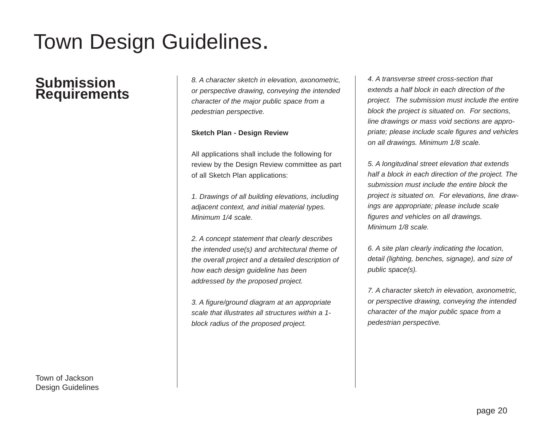### **Submission Requirements**

*8. A character sketch in elevation, axonometric, or perspective drawing, conveying the intended character of the major public space from a pedestrian perspective.*

#### **Sketch Plan - Design Review**

All applications shall include the following for review by the Design Review committee as part of all Sketch Plan applications:

*1. Drawings of all building elevations, including adjacent context, and initial material types. Minimum 1/4 scale.* 

*2. A concept statement that clearly describes the intended use(s) and architectural theme of the overall project and a detailed description of how each design guideline has been addressed by the proposed project.*

*3. A figure/ground diagram at an appropriate scale that illustrates all structures within a 1 block radius of the proposed project.* 

*4. A transverse street cross-section that extends a half block in each direction of the project. The submission must include the entire block the project is situated on. For sections, line drawings or mass void sections are appropriate; please include scale figures and vehicles on all drawings. Minimum 1/8 scale.* 

*5. A longitudinal street elevation that extends half a block in each direction of the project. The submission must include the entire block the project is situated on. For elevations, line drawings are appropriate; please include scale figures and vehicles on all drawings. Minimum 1/8 scale.* 

*6. A site plan clearly indicating the location, detail (lighting, benches, signage), and size of public space(s).*

*7. A character sketch in elevation, axonometric, or perspective drawing, conveying the intended character of the major public space from a pedestrian perspective.*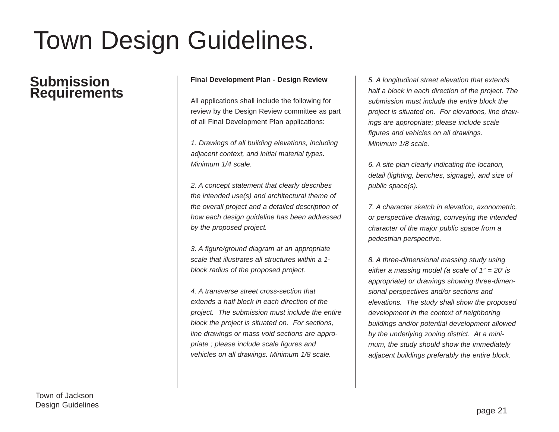### **Submission Requirements**

#### **Final Development Plan - Design Review**

All applications shall include the following for review by the Design Review committee as part of all Final Development Plan applications:

*1. Drawings of all building elevations, including adjacent context, and initial material types. Minimum 1/4 scale.* 

*2. A concept statement that clearly describes the intended use(s) and architectural theme of the overall project and a detailed description of how each design guideline has been addressed by the proposed project.*

*3. A figure/ground diagram at an appropriate scale that illustrates all structures within a 1 block radius of the proposed project.* 

*4. A transverse street cross-section that extends a half block in each direction of the project. The submission must include the entire block the project is situated on. For sections, line drawings or mass void sections are appropriate ; please include scale figures and vehicles on all drawings. Minimum 1/8 scale.* 

*5. A longitudinal street elevation that extends half a block in each direction of the project. The submission must include the entire block the project is situated on. For elevations, line drawings are appropriate; please include scale figures and vehicles on all drawings. Minimum 1/8 scale.* 

*6. A site plan clearly indicating the location, detail (lighting, benches, signage), and size of public space(s).*

*7. A character sketch in elevation, axonometric, or perspective drawing, conveying the intended character of the major public space from a pedestrian perspective.*

*8. A three-dimensional massing study using either a massing model (a scale of 1" = 20' is appropriate) or drawings showing three-dimensional perspectives and/or sections and elevations. The study shall show the proposed development in the context of neighboring buildings and/or potential development allowed by the underlying zoning district. At a minimum, the study should show the immediately adjacent buildings preferably the entire block.*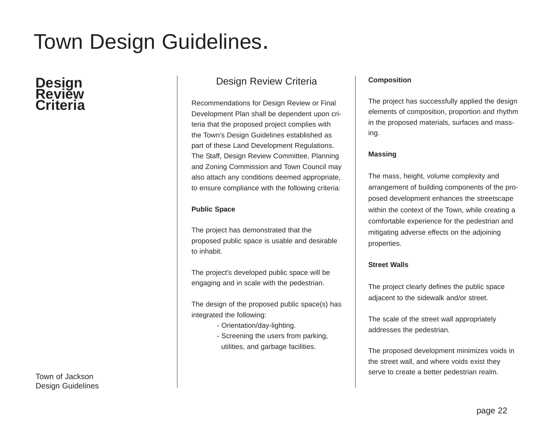# **Design Review Criteria**

Town of Jackson Design Guidelines

### Design Review Criteria

Recommendations for Design Review or Final Development Plan shall be dependent upon criteria that the proposed project complies with the Town's Design Guidelines established as part of these Land Development Regulations. The Staff, Design Review Committee, Planning and Zoning Commission and Town Council may also attach any conditions deemed appropriate, to ensure compliance with the following criteria:

#### **Public Space**

The project has demonstrated that the proposed public space is usable and desirable to inhabit.

The project's developed public space will be engaging and in scale with the pedestrian.

The design of the proposed public space(s) has integrated the following:

- Orientation/day-lighting.
- Screening the users from parking, utilities, and garbage facilities.

#### **Composition**

The project has successfully applied the design elements of composition, proportion and rhythm in the proposed materials, surfaces and massing.

#### **Massing**

The mass, height, volume complexity and arrangement of building components of the proposed development enhances the streetscape within the context of the Town, while creating a comfortable experience for the pedestrian and mitigating adverse effects on the adjoining properties.

#### **Street Walls**

The project clearly defines the public space adjacent to the sidewalk and/or street.

The scale of the street wall appropriately addresses the pedestrian.

The proposed development minimizes voids in the street wall, and where voids exist they serve to create a better pedestrian realm.